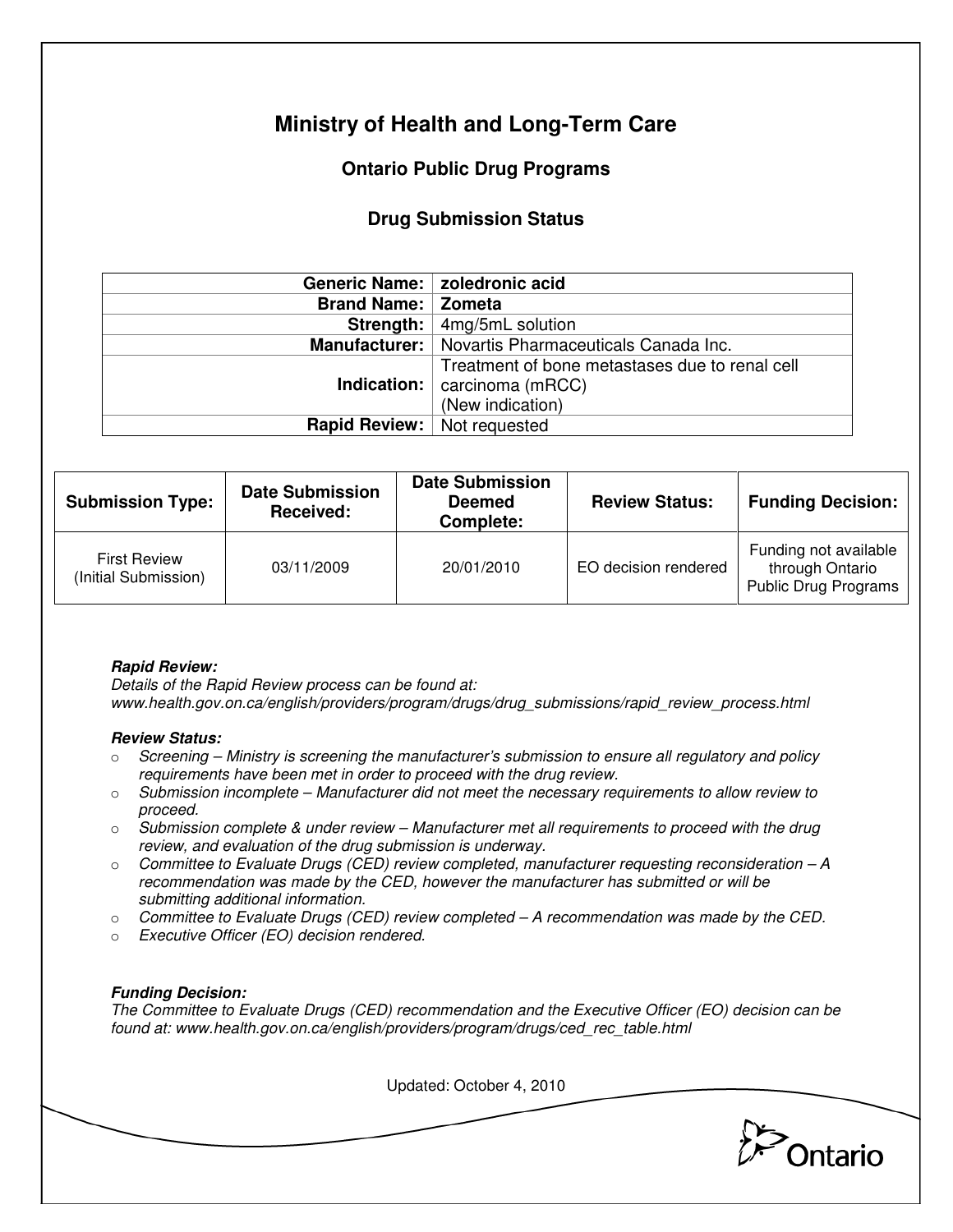# **Ministry of Health and Long-Term Care**

## **Ontario Public Drug Programs**

### **Drug Submission Status**

|                                    | Generic Name:   zoledronic acid                                                                               |  |  |
|------------------------------------|---------------------------------------------------------------------------------------------------------------|--|--|
| <b>Brand Name:   Zometa</b>        |                                                                                                               |  |  |
|                                    | <b>Strength:</b> $ $ 4mg/5mL solution                                                                         |  |  |
|                                    | Manufacturer:   Novartis Pharmaceuticals Canada Inc.                                                          |  |  |
|                                    | Treatment of bone metastases due to renal cell<br><b>Indication:</b> $ $ carcinoma (mRCC)<br>(New indication) |  |  |
| <b>Rapid Review:</b> Not requested |                                                                                                               |  |  |

| <b>Submission Type:</b>                     | <b>Date Submission</b><br><b>Received:</b> | <b>Date Submission</b><br><b>Deemed</b><br>Complete: | <b>Review Status:</b> | <b>Funding Decision:</b>                                         |
|---------------------------------------------|--------------------------------------------|------------------------------------------------------|-----------------------|------------------------------------------------------------------|
| <b>First Review</b><br>(Initial Submission) | 03/11/2009                                 | 20/01/2010                                           | EO decision rendered  | Funding not available<br>through Ontario<br>Public Drug Programs |

#### **Rapid Review:**

Details of the Rapid Review process can be found at: www.health.gov.on.ca/english/providers/program/drugs/drug\_submissions/rapid\_review\_process.html

#### **Review Status:**

- $\circ$  Screening Ministry is screening the manufacturer's submission to ensure all regulatory and policy requirements have been met in order to proceed with the drug review.
- $\circ$  Submission incomplete Manufacturer did not meet the necessary requirements to allow review to proceed.
- $\circ$  Submission complete & under review Manufacturer met all requirements to proceed with the drug review, and evaluation of the drug submission is underway.
- $\circ$  Committee to Evaluate Drugs (CED) review completed, manufacturer requesting reconsideration A recommendation was made by the CED, however the manufacturer has submitted or will be submitting additional information.
- $\circ$  Committee to Evaluate Drugs (CED) review completed  $-A$  recommendation was made by the CED.
- o Executive Officer (EO) decision rendered.

#### **Funding Decision:**

The Committee to Evaluate Drugs (CED) recommendation and the Executive Officer (EO) decision can be found at: www.health.gov.on.ca/english/providers/program/drugs/ced\_rec\_table.html

Updated: October 4, 2010